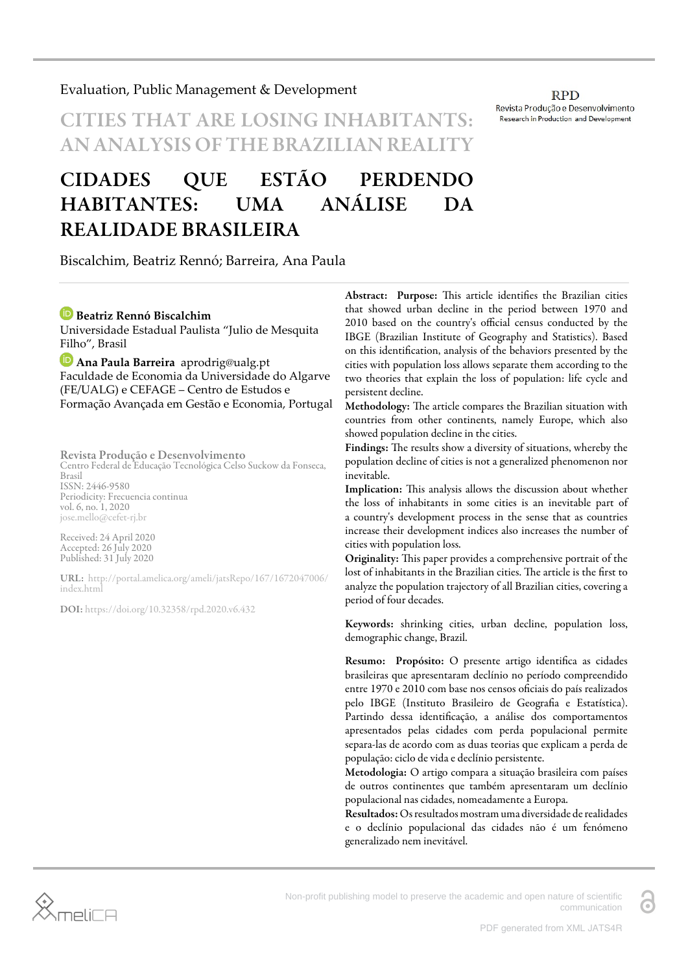Non-profit publishing model to preserve the academic and open nature of scientific communication

# Evaluation, Public Management & Development

# **CITIES THAT ARE LOSING INHABITAN** AN ANALYSIS OF THE BRAZILIAN REALITY

# CIDADES QUE ESTÃO PERDENDO HABITANTES: UMA ANÁLISE DA REALIDADE BRASILEIRA

Biscalchim, Beatriz Rennó; Barreira, Ana Paula

# **Beatriz Rennó Biscalchim**

Universidade Estadual Paulista "Julio de Mesquita Filho", Brasil

**Ana Paula Barreira** aprodrig@ualg.pt Faculdade de Economia da Universidade do Algarve (FE/UALG) e CEFAGE – Centro de Estudos e Formação Avançada em Gestão e Economia, Portugal

Revista Produção e Desenvolvimento

Centro Federal de Educação Tecnológica Celso Suckow da Fonseca, Brasil ISSN: 2446-9580 Periodicity: Frecuencia continua vol. 6, no. 1, 2020

jose.mello@cefet-rj.br

Received: 24 April 2020 Accepted: 26 July 2020 Published: 31 July 2020

URL: [http://portal.amelica.org/ameli/jatsRepo/167/1672047006/](http://portal.amelica.org/ameli/jatsRepo/167/1672047006/index.html) [index.html](http://portal.amelica.org/ameli/jatsRepo/167/1672047006/index.html)

DOI: <https://doi.org/10.32358/rpd.2020.v6.432>

Abstract: Purpose: This article identifies the Brazilian cities that showed urban decline in the period between 1970 and 2010 based on the country's official census conducted by the IBGE (Brazilian Institute of Geography and Statistics). Based on this identification, analysis of the behaviors presented by the cities with population loss allows separate them according to the two theories that explain the loss of population: life cycle and persistent decline.

Methodology: The article compares the Brazilian situation with countries from other continents, namely Europe, which also showed population decline in the cities.

Findings: The results show a diversity of situations, whereby the population decline of cities is not a generalized phenomenon nor inevitable.

Implication: This analysis allows the discussion about whether the loss of inhabitants in some cities is an inevitable part of a country's development process in the sense that as countries increase their development indices also increases the number of cities with population loss.

Originality: This paper provides a comprehensive portrait of the lost of inhabitants in the Brazilian cities. The article is the first to analyze the population trajectory of all Brazilian cities, covering a period of four decades.

Keywords: shrinking cities, urban decline, population loss, demographic change, Brazil.

Resumo: Propósito: O presente artigo identifica as cidades brasileiras que apresentaram declínio no período compreendido entre 1970 e 2010 com base nos censos oficiais do país realizados pelo IBGE (Instituto Brasileiro de Geografia e Estatística). Partindo dessa identificação, a análise dos comportamentos apresentados pelas cidades com perda populacional permite separa-las de acordo com as duas teorias que explicam a perda de população: ciclo de vida e declínio persistente.

Metodologia: O artigo compara a situação brasileira com países de outros continentes que também apresentaram um declínio populacional nas cidades, nomeadamente a Europa.

Resultados: Os resultados mostram uma diversidade de realidades e o declínio populacional das cidades não é um fenómeno generalizado nem inevitável.

#### **RPD** Revista Produção e Desenvolvimento Research in Production and Development

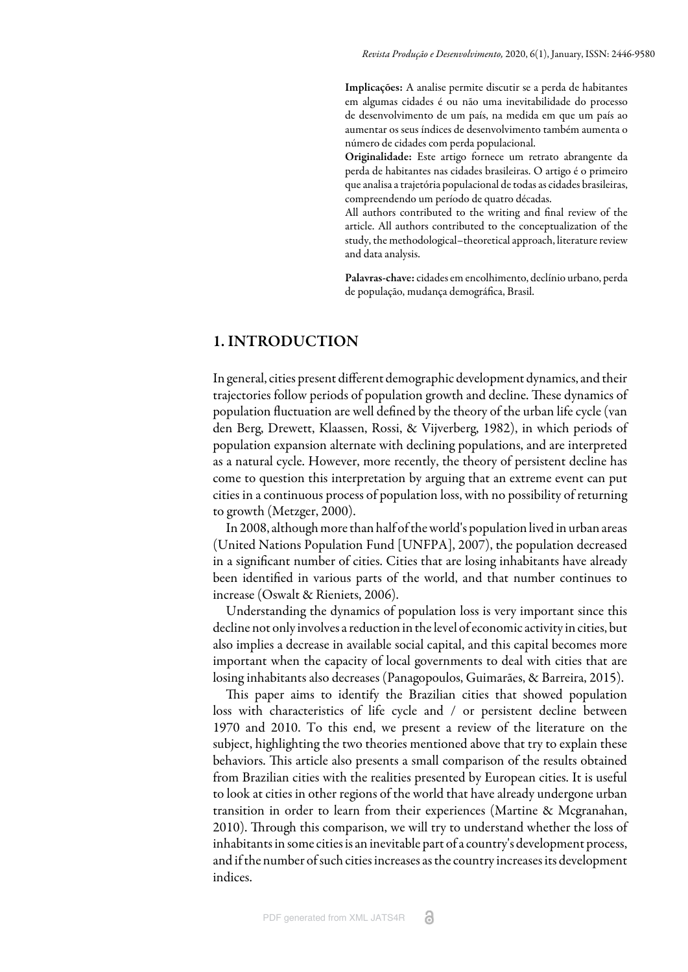Implicações: A analise permite discutir se a perda de habitantes em algumas cidades é ou não uma inevitabilidade do processo de desenvolvimento de um país, na medida em que um país ao aumentar os seus índices de desenvolvimento também aumenta o número de cidades com perda populacional.

Originalidade: Este artigo fornece um retrato abrangente da perda de habitantes nas cidades brasileiras. O artigo é o primeiro que analisa a trajetória populacional de todas as cidades brasileiras, compreendendo um período de quatro décadas.

All authors contributed to the writing and final review of the article. All authors contributed to the conceptualization of the study, the methodological–theoretical approach, literature review and data analysis.

Palavras-chave: cidades em encolhimento, declínio urbano, perda de população, mudança demográfica, Brasil.

# 1. INTRODUCTION

In general, cities present different demographic development dynamics, and their trajectories follow periods of population growth and decline. These dynamics of population fluctuation are well defined by the theory of the urban life cycle ([van](#page-18-0) [den Berg, Drewett, Klaassen, Rossi, & Vijverberg, 1982\)](#page-18-0), in which periods of population expansion alternate with declining populations, and are interpreted as a natural cycle. However, more recently, the theory of persistent decline has come to question this interpretation by arguing that an extreme event can put cities in a continuous process of population loss, with no possibility of returning to growth [\(Metzger, 2000](#page-16-0)).

In 2008, although more than half of the world's population lived in urban areas [\(United Nations Population Fund \[UNFPA\], 2007\)](#page-18-1), the population decreased in a significant number of cities. Cities that are losing inhabitants have already been identified in various parts of the world, and that number continues to increase ([Oswalt & Rieniets, 2006\)](#page-17-0).

Understanding the dynamics of population loss is very important since this decline not only involves a reduction in the level of economic activity in cities, but also implies a decrease in available social capital, and this capital becomes more important when the capacity of local governments to deal with cities that are losing inhabitants also decreases [\(Panagopoulos, Guimarães, & Barreira, 2015\)](#page-17-1).

This paper aims to identify the Brazilian cities that showed population loss with characteristics of life cycle and / or persistent decline between 1970 and 2010. To this end, we present a review of the literature on the subject, highlighting the two theories mentioned above that try to explain these behaviors. This article also presents a small comparison of the results obtained from Brazilian cities with the realities presented by European cities. It is useful to look at cities in other regions of the world that have already undergone urban transition in order to learn from their experiences [\(Martine & Mcgranahan,](#page-16-1) [2010\)](#page-16-1). Through this comparison, we will try to understand whether the loss of inhabitants in some cities is an inevitable part of a country's development process, and if the number of such cities increases as the country increases its development indices.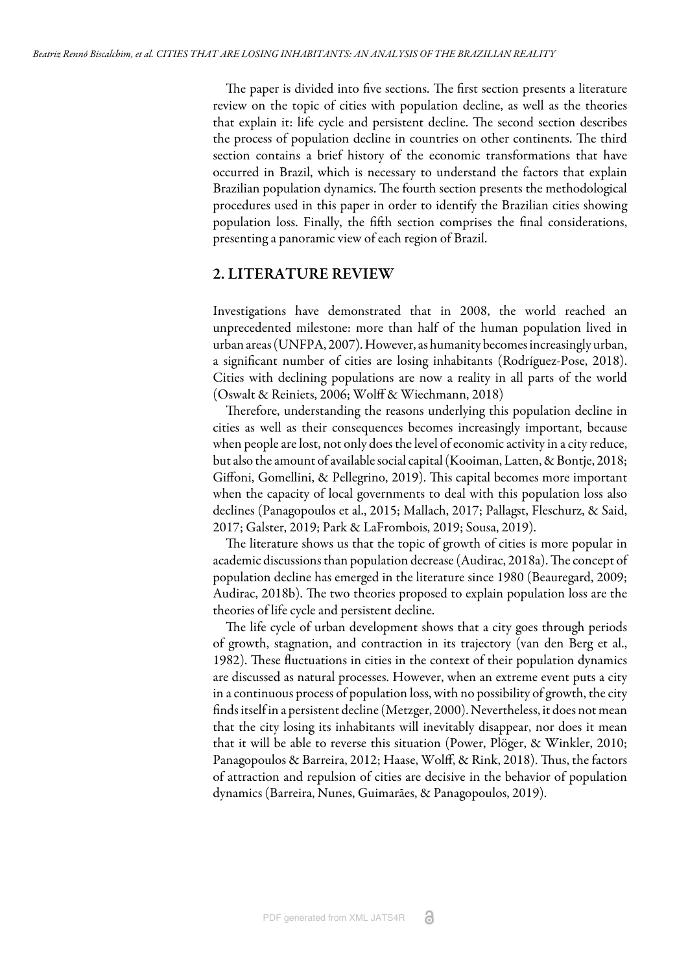The paper is divided into five sections. The first section presents a literature review on the topic of cities with population decline, as well as the theories that explain it: life cycle and persistent decline. The second section describes the process of population decline in countries on other continents. The third section contains a brief history of the economic transformations that have occurred in Brazil, which is necessary to understand the factors that explain Brazilian population dynamics. The fourth section presents the methodological procedures used in this paper in order to identify the Brazilian cities showing population loss. Finally, the fih section comprises the final considerations, presenting a panoramic view of each region of Brazil.

#### 2. LITERATURE REVIEW

Investigations have demonstrated that in 2008, the world reached an unprecedented milestone: more than half of the human population lived in urban areas ([UNFPA, 2007\)](#page-18-1). However, as humanity becomes increasingly urban, a significant number of cities are losing inhabitants ([Rodríguez-Pose, 2018](#page-17-2)). Cities with declining populations are now a reality in all parts of the world [\(Oswalt & Reiniets, 2006](#page-17-0); [Wolff & Wiechmann, 2018\)](#page-18-2)

Therefore, understanding the reasons underlying this population decline in cities as well as their consequences becomes increasingly important, because when people are lost, not only does the level of economic activity in a city reduce, but also the amount of available social capital [\(Kooiman, Latten, & Bontje, 2018;](#page-16-2) [Giffoni, Gomellini, & Pellegrino, 2019](#page-16-3)). This capital becomes more important when the capacity of local governments to deal with this population loss also declines [\(Panagopoulos et al., 2015](#page-17-1); [Mallach, 2017;](#page-16-4) [Pallagst, Fleschurz, & Said,](#page-17-3) [2017;](#page-17-3) [Galster, 2019;](#page-16-5) [Park & LaFrombois, 2019](#page-17-4); [Sousa, 2019\)](#page-17-5).

The literature shows us that the topic of growth of cities is more popular in academic discussions than population decrease ([Audirac, 2018a\)](#page-15-0). The concept of population decline has emerged in the literature since 1980 [\(Beauregard, 2009;](#page-16-6) [Audirac, 2018b\)](#page-15-1). The two theories proposed to explain population loss are the theories of life cycle and persistent decline.

The life cycle of urban development shows that a city goes through periods of growth, stagnation, and contraction in its trajectory ([van den Berg et al.,](#page-18-0) [1982\)](#page-18-0). These fluctuations in cities in the context of their population dynamics are discussed as natural processes. However, when an extreme event puts a city in a continuous process of population loss, with no possibility of growth, the city finds itself in a persistent decline ([Metzger, 2000](#page-16-0)). Nevertheless, it does not mean that the city losing its inhabitants will inevitably disappear, nor does it mean that it will be able to reverse this situation [\(Power, Plöger, & Winkler, 2010;](#page-17-6) Panagopoulos & Barreira, 2012; [Haase, Wolff, & Rink, 2018\)](#page-16-7). Thus, the factors of attraction and repulsion of cities are decisive in the behavior of population dynamics [\(Barreira, Nunes, Guimarães, & Panagopoulos, 2019\)](#page-15-2).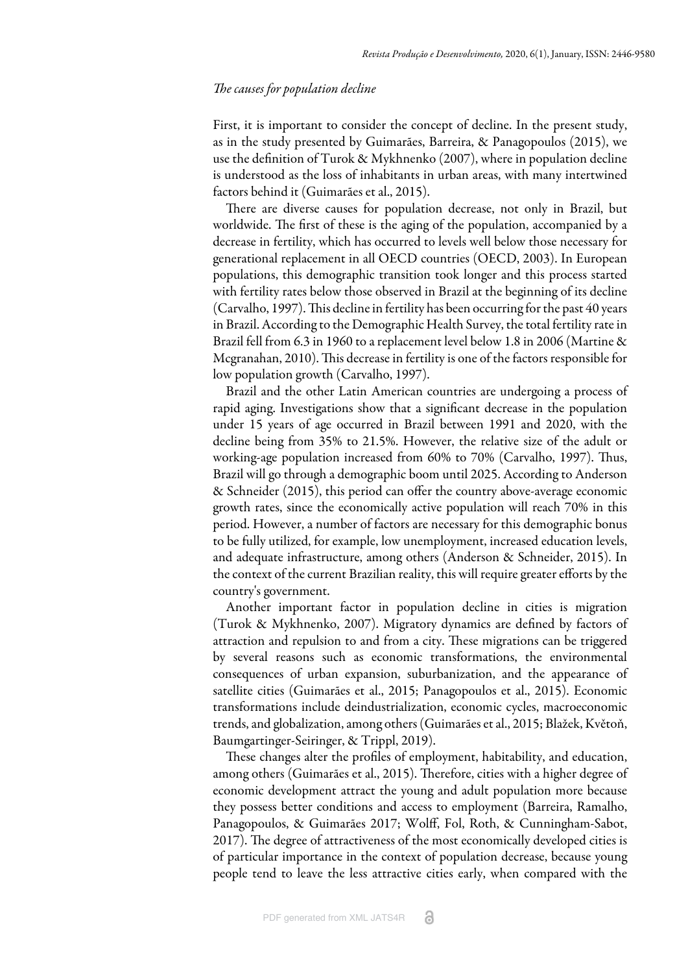#### *The causes for population decline*

First, it is important to consider the concept of decline. In the present study, as in the study presented by [Guimarães, Barreira, & Panagopoulos \(2015\)](#page-16-8), we use the definition of [Turok & Mykhnenko \(2007\)](#page-17-7), where in population decline is understood as the loss of inhabitants in urban areas, with many intertwined factors behind it ([Guimarães et al., 2015\)](#page-16-8).

There are diverse causes for population decrease, not only in Brazil, but worldwide. The first of these is the aging of the population, accompanied by a decrease in fertility, which has occurred to levels well below those necessary for generational replacement in all OECD countries [\(OECD, 2003\)](#page-17-8). In European populations, this demographic transition took longer and this process started with fertility rates below those observed in Brazil at the beginning of its decline [\(Carvalho, 1997](#page-16-9)). This decline in fertility has been occurring for the past 40 years in Brazil. According to the Demographic Health Survey, the total fertility rate in Brazil fell from 6.3 in 1960 to a replacement level below 1.8 in 2006 ([Martine &](#page-16-1) [Mcgranahan, 2010\)](#page-16-1). This decrease in fertility is one of the factors responsible for low population growth [\(Carvalho, 1997](#page-16-9)).

Brazil and the other Latin American countries are undergoing a process of rapid aging. Investigations show that a significant decrease in the population under 15 years of age occurred in Brazil between 1991 and 2020, with the decline being from 35% to 21.5%. However, the relative size of the adult or working-age population increased from 60% to 70% ([Carvalho, 1997\)](#page-16-9). Thus, Brazil will go through a demographic boom until 2025. According to [Anderson](#page-15-3) [& Schneider \(2015\)](#page-15-3), this period can offer the country above-average economic growth rates, since the economically active population will reach 70% in this period. However, a number of factors are necessary for this demographic bonus to be fully utilized, for example, low unemployment, increased education levels, and adequate infrastructure, among others [\(Anderson & Schneider, 2015\)](#page-15-3). In the context of the current Brazilian reality, this will require greater efforts by the country's government.

Another important factor in population decline in cities is migration [\(Turok & Mykhnenko, 2007](#page-17-7)). Migratory dynamics are defined by factors of attraction and repulsion to and from a city. These migrations can be triggered by several reasons such as economic transformations, the environmental consequences of urban expansion, suburbanization, and the appearance of satellite cities [\(Guimarães et al., 2015](#page-16-8); [Panagopoulos et al., 2015](#page-17-1)). Economic transformations include deindustrialization, economic cycles, macroeconomic trends, and globalization, among others [\(Guimarães et al., 2015](#page-16-8); [Blažek, Květoň,](#page-16-10) [Baumgartinger-Seiringer, & Trippl, 2019\)](#page-16-10).

These changes alter the profiles of employment, habitability, and education, among others [\(Guimarães et al., 2015\)](#page-16-8). Therefore, cities with a higher degree of economic development attract the young and adult population more because they possess better conditions and access to employment [\(Barreira, Ramalho,](#page-15-4) [Panagopoulos, & Guimarães 2017;](#page-15-4) [Wolff, Fol, Roth, & Cunningham-Sabot,](#page-18-3) [2017\)](#page-18-3). The degree of attractiveness of the most economically developed cities is of particular importance in the context of population decrease, because young people tend to leave the less attractive cities early, when compared with the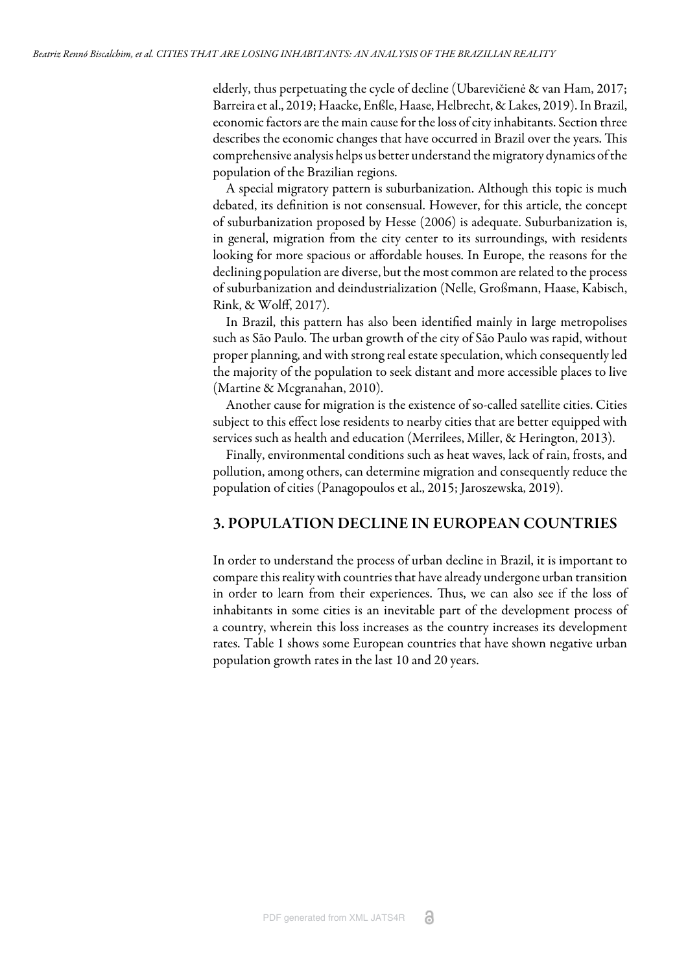elderly, thus perpetuating the cycle of decline ([Ubarevičienė & van Ham, 2017;](#page-17-9) [Barreira et al., 2019;](#page-15-2) [Haacke, Enßle, Haase, Helbrecht, & Lakes, 2019](#page-16-11)). In Brazil, economic factors are the main cause for the loss of city inhabitants. Section three describes the economic changes that have occurred in Brazil over the years. This comprehensive analysis helps us better understand the migratory dynamics of the population of the Brazilian regions.

A special migratory pattern is suburbanization. Although this topic is much debated, its definition is not consensual. However, for this article, the concept of suburbanization proposed by [Hesse \(2006\)](#page-16-12) is adequate. Suburbanization is, in general, migration from the city center to its surroundings, with residents looking for more spacious or affordable houses. In Europe, the reasons for the declining population are diverse, but the most common are related to the process of suburbanization and deindustrialization [\(Nelle, Großmann, Haase, Kabisch,](#page-17-10) [Rink, & Wolff, 2017\)](#page-17-10).

In Brazil, this pattern has also been identified mainly in large metropolises such as São Paulo. The urban growth of the city of São Paulo was rapid, without proper planning, and with strong real estate speculation, which consequently led the majority of the population to seek distant and more accessible places to live [\(Martine & Mcgranahan, 2010](#page-16-1)).

Another cause for migration is the existence of so-called satellite cities. Cities subject to this effect lose residents to nearby cities that are better equipped with services such as health and education ([Merrilees, Miller, & Herington, 2013\)](#page-16-13).

Finally, environmental conditions such as heat waves, lack of rain, frosts, and pollution, among others, can determine migration and consequently reduce the population of cities [\(Panagopoulos et al., 2015](#page-17-1); [Jaroszewska, 2019\)](#page-16-14).

# 3. POPULATION DECLINE IN EUROPEAN COUNTRIES

In order to understand the process of urban decline in Brazil, it is important to compare this reality with countries that have already undergone urban transition in order to learn from their experiences. Thus, we can also see if the loss of inhabitants in some cities is an inevitable part of the development process of a country, wherein this loss increases as the country increases its development rates. [Table 1](#page-5-0) shows some European countries that have shown negative urban population growth rates in the last 10 and 20 years.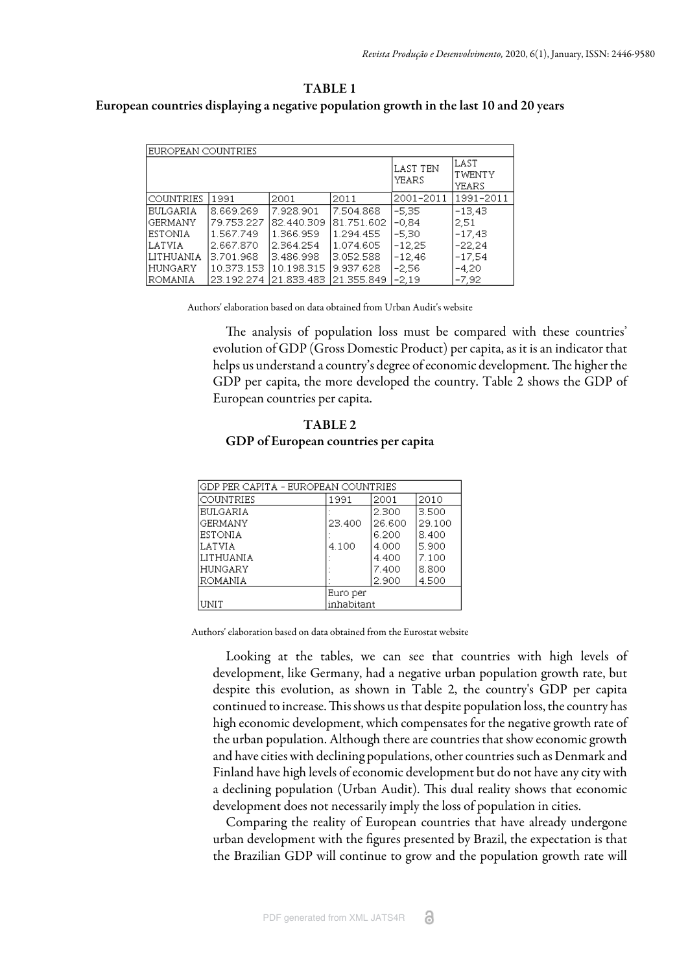# <span id="page-5-0"></span>TABLE 1 European countries displaying a negative population growth in the last 10 and 20 years

| EUROPEAN COUNTRIES |            |            |              |                    |                                |  |
|--------------------|------------|------------|--------------|--------------------|--------------------------------|--|
|                    |            |            |              | Ilast ten<br>YEARS | <b>LAST</b><br>TWENTY<br>YEARS |  |
| <b>COUNTRIES</b>   | 1991       | 2001       | 2011         | 2001-2011          | 1991-2011                      |  |
| BULGARIA.          | 8.669.269  | 7.928.901  | 7.504.868    | $-5.35$            | $-13.43$                       |  |
| GERMANY            | 79.753.227 | 82.440.309 | 81.751.602   | $-0.84$            | 2.51                           |  |
| ESTONIA            | 1.567.749  | 1.366.959  | 1.294.455    | $-5.30$            | $-17.43$                       |  |
| LATVIA             | 2.667.870  | 2 364 254  | 1.074.605    | $-12.25$           | $-22.24$                       |  |
| LITHUANIA          | 3.701.968  | 3.486.998  | 3.052.588    | $-12.46$           | $-17.54$                       |  |
| HUNGARY            | 10.373.153 | 10.198.315 | 9.937.628    | $-2,56$            | $-4,20$                        |  |
| ROMANIA            | 23.192.274 | 21.833.483 | 121.355.849. | $-2.19$            | $-7.92$                        |  |

Authors' elaboration based on data obtained from Urban Audit's website

The analysis of population loss must be compared with these countries' evolution of GDP (Gross Domestic Product) per capita, as it is an indicator that helps us understand a country's degree of economic development. The higher the GDP per capita, the more developed the country. [Table 2 s](#page-5-0)hows the GDP of European countries per capita.

# TABLE 2 GDP of European countries per capita

<span id="page-5-1"></span>

| GDP PER CAPITA - EUROPEAN COUNTRIES |            |        |        |  |  |
|-------------------------------------|------------|--------|--------|--|--|
| COUNTRIES                           | 1991       | 2001   | 2010   |  |  |
| <b>BULGARIA</b>                     |            | 2.300  | 3.500  |  |  |
| GERMANY                             | 23.400     | 26.600 | 29.100 |  |  |
| <b>ESTONIA</b>                      |            | 6.200  | 8.400  |  |  |
| LATVIA                              | 4.100      | 4.000  | 5.900  |  |  |
| LITHUANIA                           |            | 4.400  | 7.100  |  |  |
| HUNGARY                             |            | 7.400  | 8.800  |  |  |
| ROMANIA                             |            | 2.900  | 4.500  |  |  |
|                                     | Euro per   |        |        |  |  |
| UNIT                                | inhabitant |        |        |  |  |

Authors' elaboration based on data obtained from the Eurostat website

Looking at the tables, we can see that countries with high levels of development, like Germany, had a negative urban population growth rate, but despite this evolution, as shown in [Table 2](#page-5-1), the country's GDP per capita continued to increase. This shows us that despite population loss, the country has high economic development, which compensates for the negative growth rate of the urban population. Although there are countries that show economic growth and have cities with declining populations, other countries such as Denmark and Finland have high levels of economic development but do not have any city with a declining population (Urban Audit). This dual reality shows that economic development does not necessarily imply the loss of population in cities.

Comparing the reality of European countries that have already undergone urban development with the figures presented by Brazil, the expectation is that the Brazilian GDP will continue to grow and the population growth rate will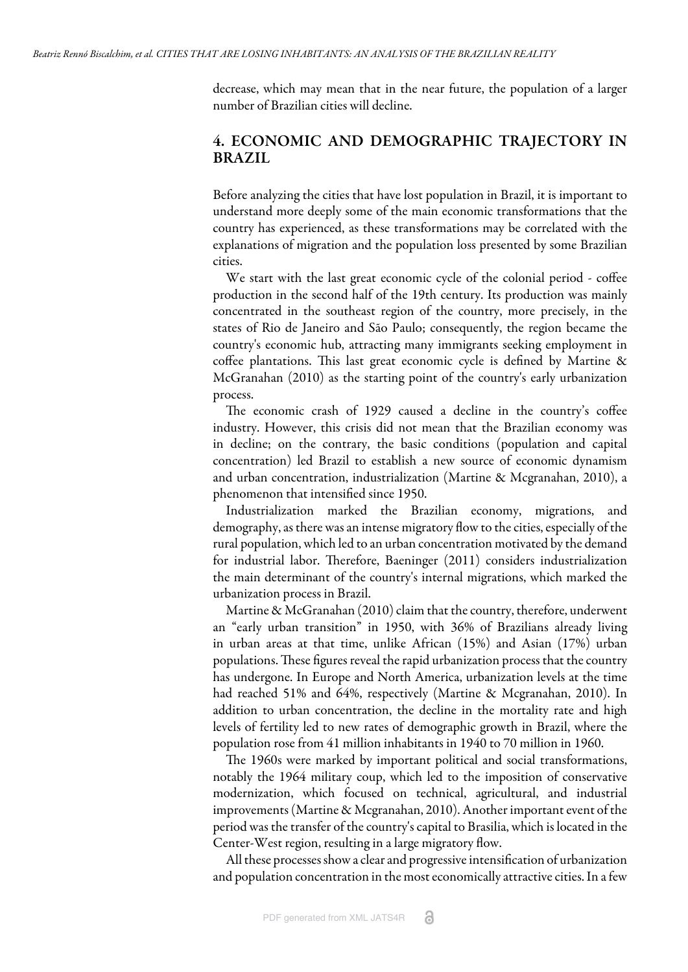decrease, which may mean that in the near future, the population of a larger number of Brazilian cities will decline.

# 4. ECONOMIC AND DEMOGRAPHIC TRAJECTORY IN BRAZIL

Before analyzing the cities that have lost population in Brazil, it is important to understand more deeply some of the main economic transformations that the country has experienced, as these transformations may be correlated with the explanations of migration and the population loss presented by some Brazilian cities.

We start with the last great economic cycle of the colonial period - coffee production in the second half of the 19th century. Its production was mainly concentrated in the southeast region of the country, more precisely, in the states of Rio de Janeiro and São Paulo; consequently, the region became the country's economic hub, attracting many immigrants seeking employment in coffee plantations. This last great economic cycle is defined by Martine  $\&$ McGranahan (2010) as the starting point of the country's early urbanization process.

The economic crash of 1929 caused a decline in the country's coffee industry. However, this crisis did not mean that the Brazilian economy was in decline; on the contrary, the basic conditions (population and capital concentration) led Brazil to establish a new source of economic dynamism and urban concentration, industrialization ([Martine & Mcgranahan, 2010](#page-16-1)), a phenomenon that intensified since 1950.

Industrialization marked the Brazilian economy, migrations, and demography, as there was an intense migratory flow to the cities, especially of the rural population, which led to an urban concentration motivated by the demand for industrial labor. Therefore, [Baeninger \(2011\)](#page-15-5) considers industrialization the main determinant of the country's internal migrations, which marked the urbanization process in Brazil.

[Martine & McGranahan \(2010\)](#page-16-1) claim that the country, therefore, underwent an "early urban transition" in 1950, with 36% of Brazilians already living in urban areas at that time, unlike African (15%) and Asian (17%) urban populations. These figures reveal the rapid urbanization process that the country has undergone. In Europe and North America, urbanization levels at the time had reached 51% and 64%, respectively ([Martine & Mcgranahan, 2010\)](#page-16-1). In addition to urban concentration, the decline in the mortality rate and high levels of fertility led to new rates of demographic growth in Brazil, where the population rose from 41 million inhabitants in 1940 to 70 million in 1960.

The 1960s were marked by important political and social transformations, notably the 1964 military coup, which led to the imposition of conservative modernization, which focused on technical, agricultural, and industrial improvements ([Martine & Mcgranahan, 2010\)](#page-16-1). Another important event of the period was the transfer of the country's capital to Brasilia, which is located in the Center-West region, resulting in a large migratory flow.

All these processes show a clear and progressive intensification of urbanization and population concentration in the most economically attractive cities. In a few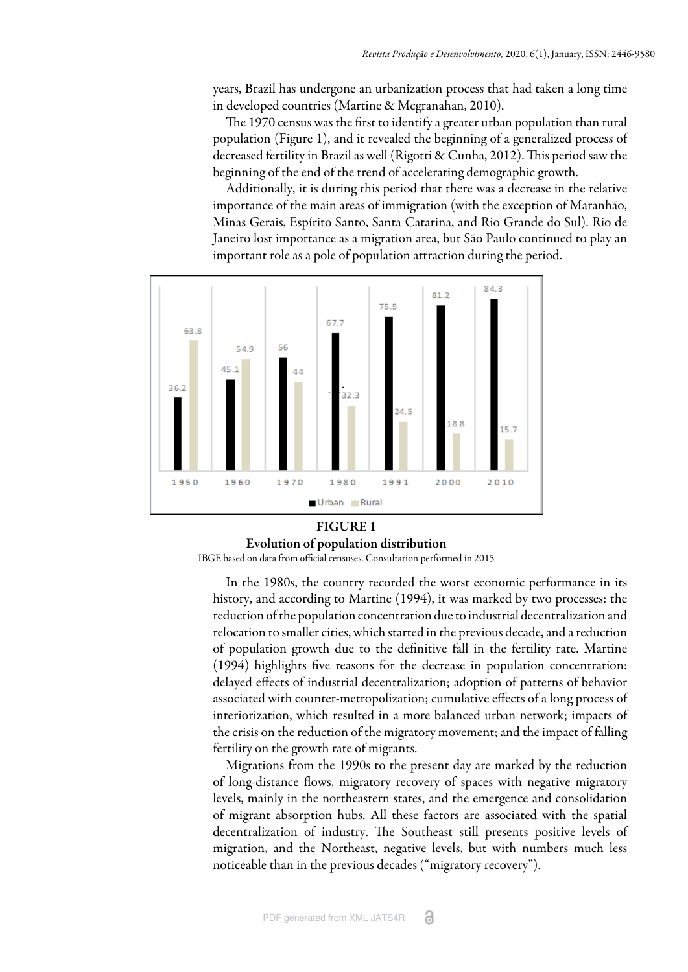years, Brazil has undergone an urbanization process that had taken a long time in developed countries ([Martine & Mcgranahan, 2010\)](#page-16-1).

The 1970 census was the first to identify a greater urban population than rural population ([Figure 1](#page-7-0)), and it revealed the beginning of a generalized process of decreased fertility in Brazil as well ([Rigotti & Cunha, 2012](#page-17-11)). This period saw the beginning of the end of the trend of accelerating demographic growth.

Additionally, it is during this period that there was a decrease in the relative importance of the main areas of immigration (with the exception of Maranhão, Minas Gerais, Espírito Santo, Santa Catarina, and Rio Grande do Sul). Rio de Janeiro lost importance as a migration area, but São Paulo continued to play an important role as a pole of population attraction during the period.

<span id="page-7-0"></span>

#### FIGURE 1 Evolution of population distribution IBGE based on data from official censuses. Consultation performed in 2015

In the 1980s, the country recorded the worst economic performance in its history, and according to [Martine \(1994\),](#page-16-15) it was marked by two processes: the reduction of the population concentration due to industrial decentralization and relocation to smaller cities, which started in the previous decade, and a reduction of population growth due to the definitive fall in the fertility rate. [Martine](#page-16-15) [\(1994\)](#page-16-15) highlights five reasons for the decrease in population concentration: delayed effects of industrial decentralization; adoption of patterns of behavior associated with counter-metropolization; cumulative effects of a long process of interiorization, which resulted in a more balanced urban network; impacts of the crisis on the reduction of the migratory movement; and the impact of falling fertility on the growth rate of migrants.

Migrations from the 1990s to the present day are marked by the reduction of long-distance flows, migratory recovery of spaces with negative migratory levels, mainly in the northeastern states, and the emergence and consolidation of migrant absorption hubs. All these factors are associated with the spatial decentralization of industry. The Southeast still presents positive levels of migration, and the Northeast, negative levels, but with numbers much less noticeable than in the previous decades ("migratory recovery").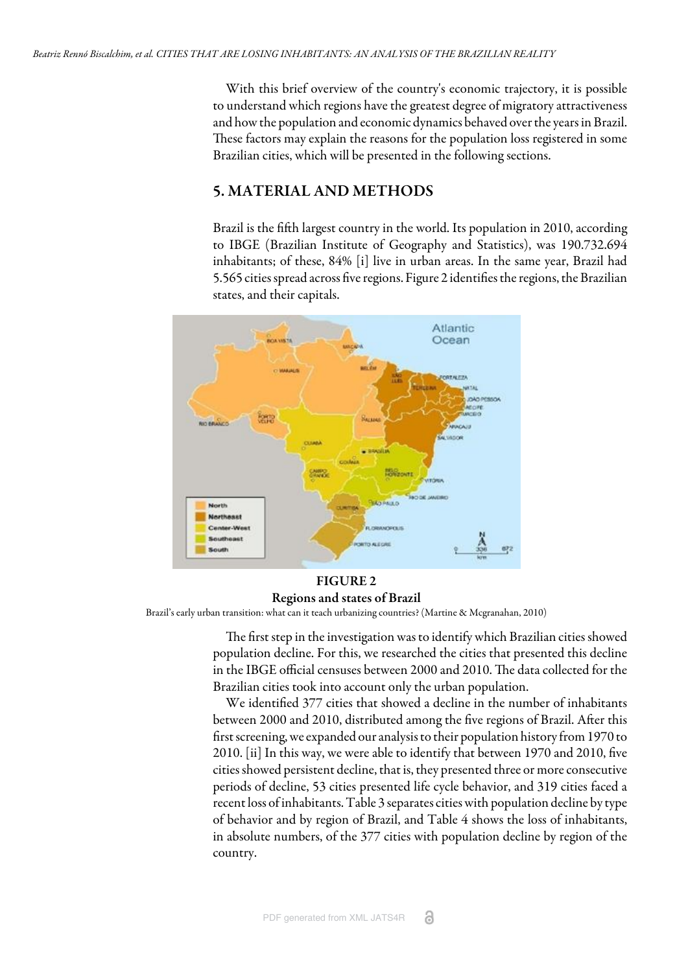With this brief overview of the country's economic trajectory, it is possible to understand which regions have the greatest degree of migratory attractiveness and how the population and economic dynamics behaved over the years in Brazil. These factors may explain the reasons for the population loss registered in some Brazilian cities, which will be presented in the following sections.

# 5. MATERIAL AND METHODS

Brazil is the fifth largest country in the world. Its population in 2010, according to IBGE (Brazilian Institute of Geography and Statistics), was 190.732.694 inhabitants; of these, 84% [i] live in urban areas. In the same year, Brazil had 5.565 cities spread across five regions. [Figure 2](#page-8-0) identifies the regions, the Brazilian states, and their capitals.

<span id="page-8-0"></span>

# FIGURE 2 Regions and states of Brazil

Brazil's early urban transition: what can it teach urbanizing countries? ([Martine & Mcgranahan, 2010](#page-16-1))

The first step in the investigation was to identify which Brazilian cities showed population decline. For this, we researched the cities that presented this decline in the [IBGE](#page-18-4) official censuses between 2000 and 2010. The data collected for the Brazilian cities took into account only the urban population.

We identified 377 cities that showed a decline in the number of inhabitants between 2000 and 2010, distributed among the five regions of Brazil. After this first screening, we expanded our analysis to their population history from 1970 to 2010. [[ii\]](#page-18-5) In this way, we were able to identify that between 1970 and 2010, five cities showed persistent decline, that is, they presented three or more consecutive periods of decline, 53 cities presented life cycle behavior, and 319 cities faced a recent loss of inhabitants. [Table 3](#page-9-0) separates cities with population decline by type of behavior and by region of Brazil, and [Table 4](#page-9-1) shows the loss of inhabitants, in absolute numbers, of the 377 cities with population decline by region of the country.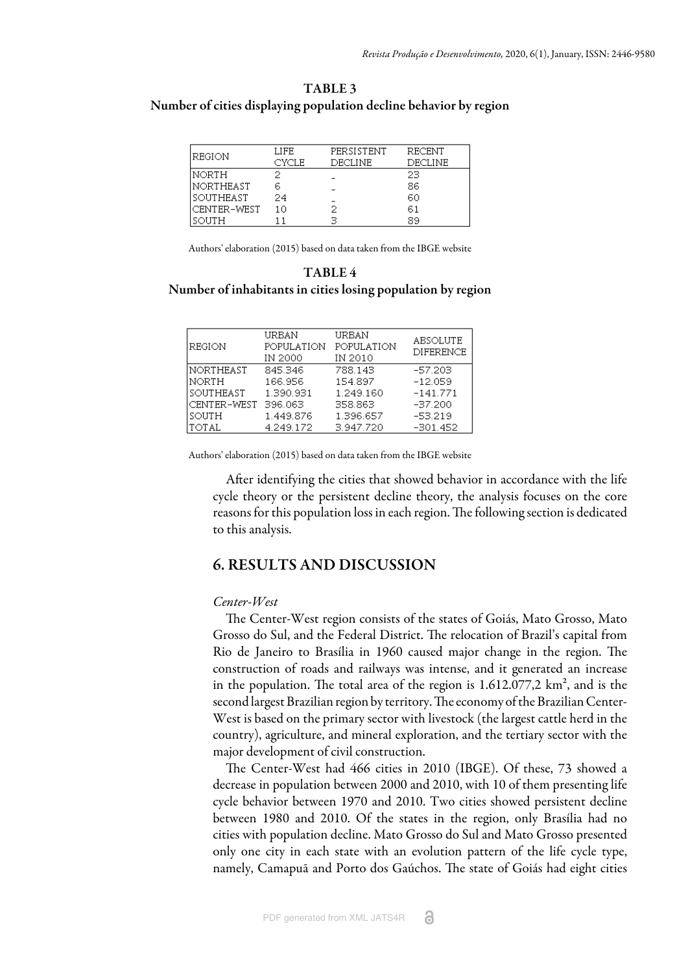#### <span id="page-9-0"></span>TABLE 3 Number of cities displaying population decline behavior by region

| IREGION     | LIFE  | PERSISTENT | RECENT  |
|-------------|-------|------------|---------|
|             | CYCLE | DECLINE    | DECLINE |
| NORTH       |       |            | 23      |
| NORTHEAST   | 6     |            | 86      |
| SOUTHEAST   | 24    |            | 60      |
| CENTER-WEST | 10    |            | 61      |
| SOUTH       |       | ੨          | 89      |

Authors' elaboration (2015) based on data taken from the IBGE website

#### <span id="page-9-1"></span>TABLE 4 Number of inhabitants in cities losing population by region

| REGION      | URBAN<br>POPULATION<br>IN 2000 | URBAN<br>POPULATION<br>IN 2010 | <b>ABSOLUTE</b><br><b>DIFERENCE</b> |
|-------------|--------------------------------|--------------------------------|-------------------------------------|
| NORTHEAST   | 845.346                        | 788.143                        | $-57.203$                           |
| NORTH       | 166.956                        | 154.897                        | $-12.059$                           |
| SOUTHEAST   | 1.390.931                      | 1.249.160                      | $-141.771$                          |
| CENTER-WEST | 396.063                        | 358.863                        | $-37.200$                           |
| SOUTH       | 1.449.876                      | 1.396.657                      | $-53.219$                           |
| Itotal      | 4.249.172                      | 3.947.720                      | -301.452                            |

Authors' elaboration (2015) based on data taken from the IBGE website

After identifying the cities that showed behavior in accordance with the life cycle theory or the persistent decline theory, the analysis focuses on the core reasons for this population loss in each region. The following section is dedicated to this analysis.

# 6. RESULTS AND DISCUSSION

#### *Center-West*

The Center-West region consists of the states of Goiás, Mato Grosso, Mato Grosso do Sul, and the Federal District. The relocation of Brazil's capital from Rio de Janeiro to Brasília in 1960 caused major change in the region. The construction of roads and railways was intense, and it generated an increase in the population. The total area of the region is  $1.612.077,2 \text{ km}^2$ , and is the second largest Brazilian region by territory. The economy of the Brazilian Center-West is based on the primary sector with livestock (the largest cattle herd in the country), agriculture, and mineral exploration, and the tertiary sector with the major development of civil construction.

The Center-West had 466 cities in 2010 [\(IBGE\)](#page-18-4). Of these, 73 showed a decrease in population between 2000 and 2010, with 10 of them presenting life cycle behavior between 1970 and 2010. Two cities showed persistent decline between 1980 and 2010. Of the states in the region, only Brasília had no cities with population decline. Mato Grosso do Sul and Mato Grosso presented only one city in each state with an evolution pattern of the life cycle type, namely, Camapuã and Porto dos Gaúchos. The state of Goiás had eight cities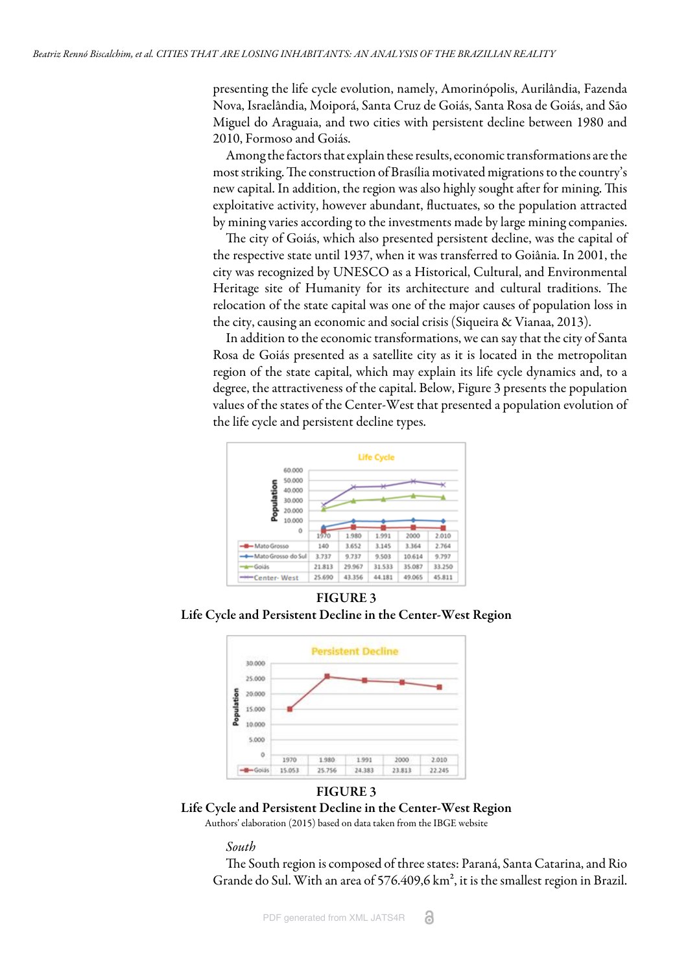presenting the life cycle evolution, namely, Amorinópolis, Aurilândia, Fazenda Nova, Israelândia, Moiporá, Santa Cruz de Goiás, Santa Rosa de Goiás, and São Miguel do Araguaia, and two cities with persistent decline between 1980 and 2010, Formoso and Goiás.

Among the factors that explain these results, economic transformations are the most striking. The construction of Brasília motivated migrations to the country's new capital. In addition, the region was also highly sought after for mining. This exploitative activity, however abundant, fluctuates, so the population attracted by mining varies according to the investments made by large mining companies.

The city of Goiás, which also presented persistent decline, was the capital of the respective state until 1937, when it was transferred to Goiânia. In 2001, the city was recognized by UNESCO as a Historical, Cultural, and Environmental Heritage site of Humanity for its architecture and cultural traditions. The relocation of the state capital was one of the major causes of population loss in the city, causing an economic and social crisis ([Siqueira & Vianaa, 2013](#page-17-12)).

In addition to the economic transformations, we can say that the city of Santa Rosa de Goiás presented as a satellite city as it is located in the metropolitan region of the state capital, which may explain its life cycle dynamics and, to a degree, the attractiveness of the capital. Below, [Figure](#page-10-0) [3 p](#page-10-1)resents the population values of the states of the Center-West that presented a population evolution of the [life cycle](#page-10-0) and [persistent decline](#page-10-1) types.

<span id="page-10-0"></span>

<span id="page-10-1"></span>FIGURE 3 Life Cycle and Persistent Decline in the Center-West Region



#### FIGURE 3

Life Cycle and Persistent Decline in the Center-West Region

Authors' elaboration (2015) based on data taken from the IBGE website

*South*

The South region is composed of three states: Paraná, Santa Catarina, and Rio Grande do Sul. With an area of 576.409,6 km², it is the smallest region in Brazil.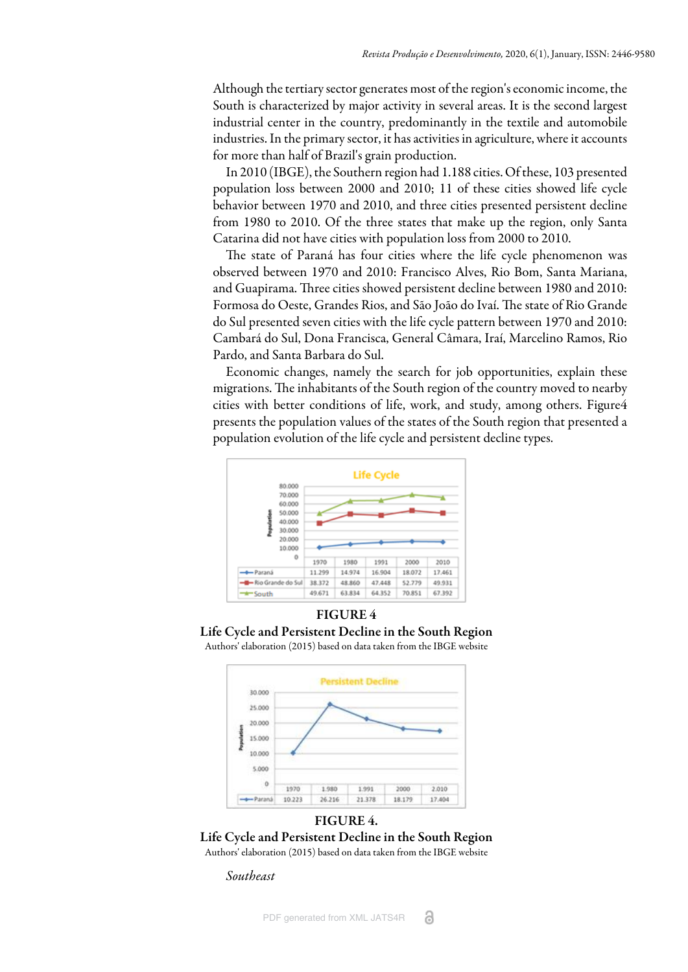Although the tertiary sector generates most of the region's economic income, the South is characterized by major activity in several areas. It is the second largest industrial center in the country, predominantly in the textile and automobile industries. In the primary sector, it has activities in agriculture, where it accounts for more than half of Brazil's grain production.

In 2010 ([IBGE\)](#page-18-4), the Southern region had 1.188 cities. Of these, 103 presented population loss between 2000 and 2010; 11 of these cities showed life cycle behavior between 1970 and 2010, and three cities presented persistent decline from 1980 to 2010. Of the three states that make up the region, only Santa Catarina did not have cities with population loss from 2000 to 2010.

The state of Paraná has four cities where the life cycle phenomenon was observed between 1970 and 2010: Francisco Alves, Rio Bom, Santa Mariana, and Guapirama. Three cities showed persistent decline between 1980 and 2010: Formosa do Oeste, Grandes Rios, and São João do Ivaí. The state of Rio Grande do Sul presented seven cities with the life cycle pattern between 1970 and 2010: Cambará do Sul, Dona Francisca, General Câmara, Iraí, Marcelino Ramos, Rio Pardo, and Santa Barbara do Sul.

Economic changes, namely the search for job opportunities, explain these migrations. The inhabitants of the South region of the country moved to nearby cities with better conditions of life, work, and study, among others. [Figure](#page-11-0)[4](#page-11-1) presents the population values of the states of the South region that presented a population evolution of the [life cycle](#page-11-0) and [persistent decline](#page-11-1) types.

<span id="page-11-0"></span>

<span id="page-11-1"></span>



#### FIGURE 4.

Life Cycle and Persistent Decline in the South Region Authors' elaboration (2015) based on data taken from the IBGE website

*Southeast*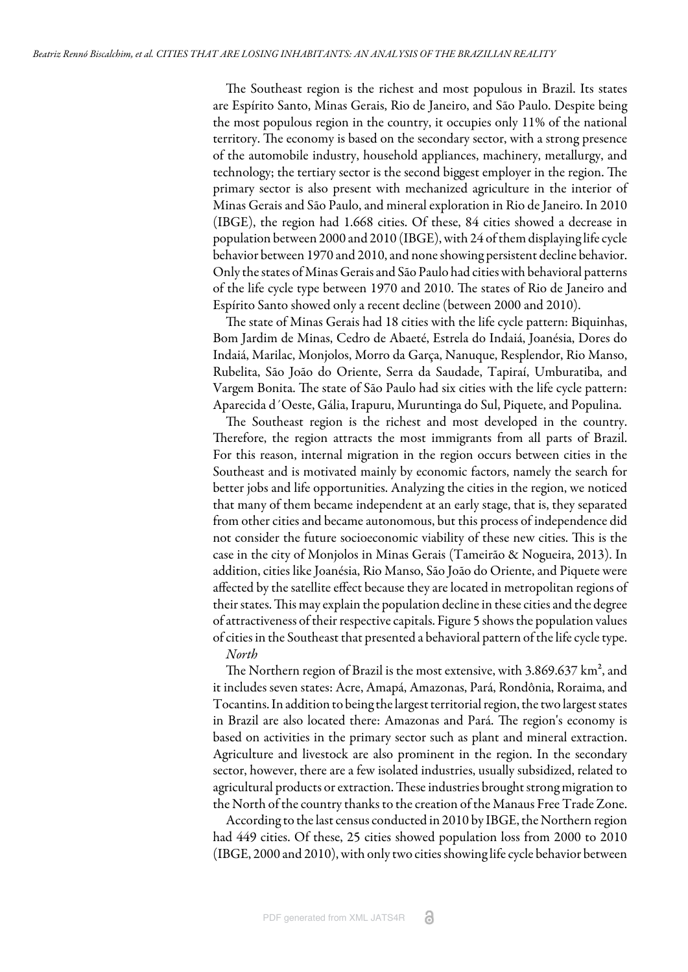The Southeast region is the richest and most populous in Brazil. Its states are Espírito Santo, Minas Gerais, Rio de Janeiro, and São Paulo. Despite being the most populous region in the country, it occupies only 11% of the national territory. The economy is based on the secondary sector, with a strong presence of the automobile industry, household appliances, machinery, metallurgy, and technology; the tertiary sector is the second biggest employer in the region. The primary sector is also present with mechanized agriculture in the interior of Minas Gerais and São Paulo, and mineral exploration in Rio de Janeiro. In 2010 [\(IBGE\)](#page-18-4), the region had 1.668 cities. Of these, 84 cities showed a decrease in population between 2000 and 2010 [\(IBGE\)](#page-18-4), with 24 of them displaying life cycle behavior between 1970 and 2010, and none showing persistent decline behavior. Only the states of Minas Gerais and São Paulo had cities with behavioral patterns of the life cycle type between 1970 and 2010. The states of Rio de Janeiro and Espírito Santo showed only a recent decline (between 2000 and 2010).

The state of Minas Gerais had 18 cities with the life cycle pattern: Biquinhas, Bom Jardim de Minas, Cedro de Abaeté, Estrela do Indaiá, Joanésia, Dores do Indaiá, Marilac, Monjolos, Morro da Garça, Nanuque, Resplendor, Rio Manso, Rubelita, São João do Oriente, Serra da Saudade, Tapiraí, Umburatiba, and Vargem Bonita. The state of São Paulo had six cities with the life cycle pattern: Aparecida d´Oeste, Gália, Irapuru, Muruntinga do Sul, Piquete, and Populina.

The Southeast region is the richest and most developed in the country. Therefore, the region attracts the most immigrants from all parts of Brazil. For this reason, internal migration in the region occurs between cities in the Southeast and is motivated mainly by economic factors, namely the search for better jobs and life opportunities. Analyzing the cities in the region, we noticed that many of them became independent at an early stage, that is, they separated from other cities and became autonomous, but this process of independence did not consider the future socioeconomic viability of these new cities. This is the case in the city of Monjolos in Minas Gerais ([Tameirão & Nogueira, 2013](#page-17-13)). In addition, cities like Joanésia, Rio Manso, São João do Oriente, and Piquete were affected by the satellite effect because they are located in metropolitan regions of their states. This may explain the population decline in these cities and the degree of attractiveness of their respective capitals. [Figure 5](#page-14-0) shows the population values of cities in the Southeast that presented a behavioral pattern of the life cycle type. *North*

The Northern region of Brazil is the most extensive, with 3.869.637 km<sup>2</sup>, and it includes seven states: Acre, Amapá, Amazonas, Pará, Rondônia, Roraima, and Tocantins. In addition to being the largest territorial region, the two largest states in Brazil are also located there: Amazonas and Pará. The region's economy is based on activities in the primary sector such as plant and mineral extraction. Agriculture and livestock are also prominent in the region. In the secondary sector, however, there are a few isolated industries, usually subsidized, related to agricultural products or extraction. These industries brought strong migration to the North of the country thanks to the creation of the Manaus Free Trade Zone.

According to the last census conducted in 2010 by [IBGE](#page-18-4), the Northern region had 449 cities. Of these, 25 cities showed population loss from 2000 to 2010 [\(IBGE, 2000 and 2010\)](#page-18-4), with only two cities showing life cycle behavior between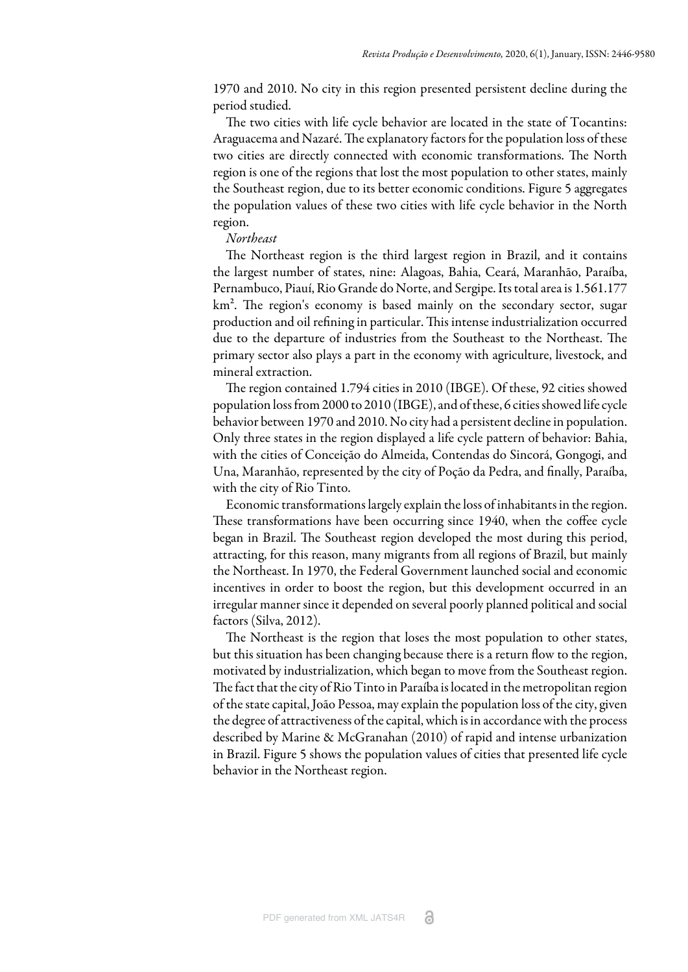1970 and 2010. No city in this region presented persistent decline during the period studied.

The two cities with life cycle behavior are located in the state of Tocantins: Araguacema and Nazaré. The explanatory factors for the population loss of these two cities are directly connected with economic transformations. The North region is one of the regions that lost the most population to other states, mainly the Southeast region, due to its better economic conditions. [Figure 5](#page-14-0) aggregates the population values of these two cities with life cycle behavior in the North region.

#### *Northeast*

The Northeast region is the third largest region in Brazil, and it contains the largest number of states, nine: Alagoas, Bahia, Ceará, Maranhão, Paraíba, Pernambuco, Piauí, Rio Grande do Norte, and Sergipe. Its total area is 1.561.177  $km<sup>2</sup>$ . The region's economy is based mainly on the secondary sector, sugar production and oil refining in particular. This intense industrialization occurred due to the departure of industries from the Southeast to the Northeast. The primary sector also plays a part in the economy with agriculture, livestock, and mineral extraction.

The region contained 1.794 cities in 2010 ([IBGE](#page-18-4)). Of these, 92 cities showed population loss from 2000 to 2010 [\(IBGE\)](#page-18-4), and of these, 6 cities showed life cycle behavior between 1970 and 2010. No city had a persistent decline in population. Only three states in the region displayed a life cycle pattern of behavior: Bahia, with the cities of Conceição do Almeida, Contendas do Sincorá, Gongogi, and Una, Maranhão, represented by the city of Poção da Pedra, and finally, Paraíba, with the city of Rio Tinto.

Economic transformations largely explain the loss of inhabitants in the region. These transformations have been occurring since 1940, when the coffee cycle began in Brazil. The Southeast region developed the most during this period, attracting, for this reason, many migrants from all regions of Brazil, but mainly the Northeast. In 1970, the Federal Government launched social and economic incentives in order to boost the region, but this development occurred in an irregular manner since it depended on several poorly planned political and social factors [\(Silva, 2012\)](#page-17-14).

The Northeast is the region that loses the most population to other states, but this situation has been changing because there is a return flow to the region, motivated by industrialization, which began to move from the Southeast region. The fact that the city of Rio Tinto in Paraíba is located in the metropolitan region of the state capital, João Pessoa, may explain the population loss of the city, given the degree of attractiveness of the capital, which is in accordance with the process described by [Marine & McGranahan \(2010\)](#page-16-1) of rapid and intense urbanization in Brazil. [Figure 5](#page-14-0) shows the population values of cities that presented life cycle behavior in the Northeast region.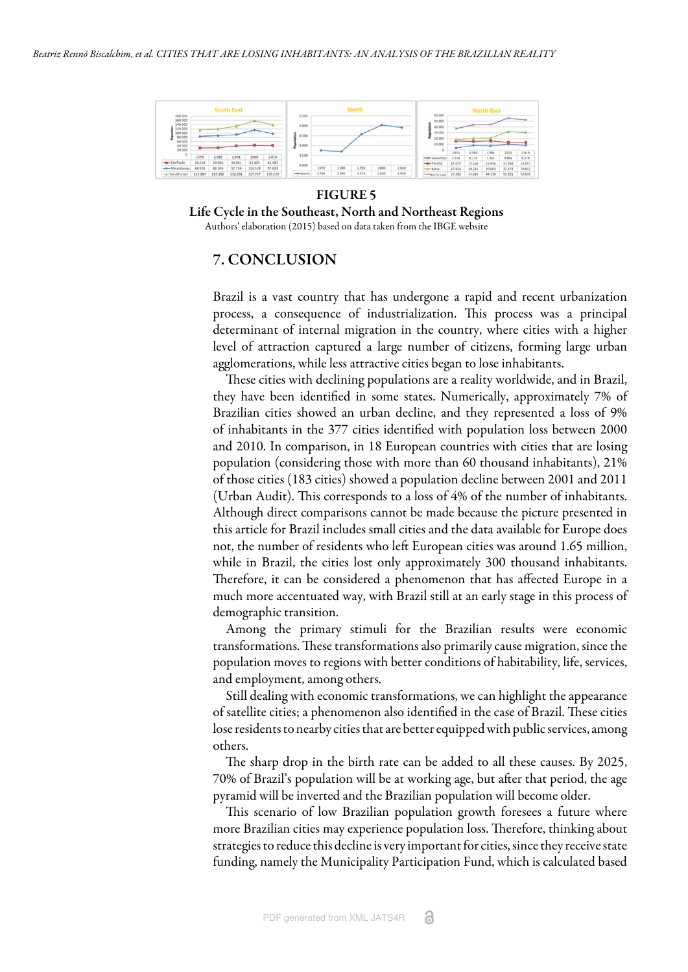<span id="page-14-0"></span>

FIGURE 5 Life Cycle in the Southeast, North and Northeast Regions

Authors' elaboration (2015) based on data taken from the IBGE website

# 7. CONCLUSION

Brazil is a vast country that has undergone a rapid and recent urbanization process, a consequence of industrialization. This process was a principal determinant of internal migration in the country, where cities with a higher level of attraction captured a large number of citizens, forming large urban agglomerations, while less attractive cities began to lose inhabitants.

These cities with declining populations are a reality worldwide, and in Brazil, they have been identified in some states. Numerically, approximately 7% of Brazilian cities showed an urban decline, and they represented a loss of 9% of inhabitants in the 377 cities identified with population loss between 2000 and 2010. In comparison, in 18 European countries with cities that are losing population (considering those with more than 60 thousand inhabitants), 21% of those cities (183 cities) showed a population decline between 2001 and 2011 (Urban Audit). This corresponds to a loss of 4% of the number of inhabitants. Although direct comparisons cannot be made because the picture presented in this article for Brazil includes small cities and the data available for Europe does not, the number of residents who left European cities was around 1.65 million, while in Brazil, the cities lost only approximately 300 thousand inhabitants. Therefore, it can be considered a phenomenon that has affected Europe in a much more accentuated way, with Brazil still at an early stage in this process of demographic transition.

Among the primary stimuli for the Brazilian results were economic transformations. These transformations also primarily cause migration, since the population moves to regions with better conditions of habitability, life, services, and employment, among others.

Still dealing with economic transformations, we can highlight the appearance of satellite cities; a phenomenon also identified in the case of Brazil. These cities lose residents to nearby cities that are better equipped with public services, among others.

The sharp drop in the birth rate can be added to all these causes. By 2025, 70% of Brazil's population will be at working age, but after that period, the age pyramid will be inverted and the Brazilian population will become older.

This scenario of low Brazilian population growth foresees a future where more Brazilian cities may experience population loss. Therefore, thinking about strategies to reduce this decline is very important for cities, since they receive state funding, namely the Municipality Participation Fund, which is calculated based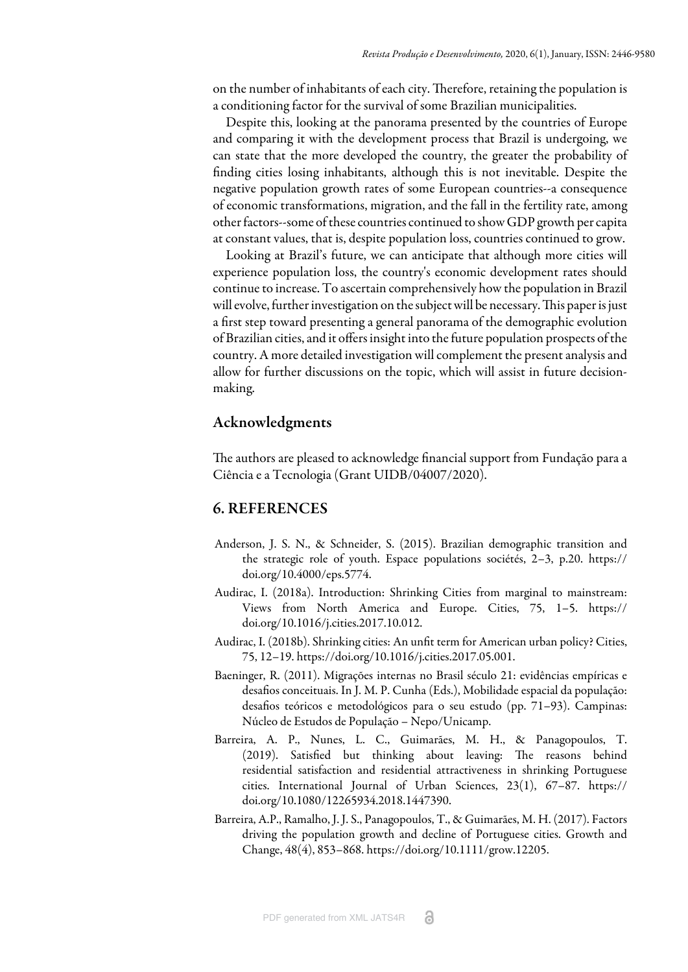on the number of inhabitants of each city. Therefore, retaining the population is a conditioning factor for the survival of some Brazilian municipalities.

Despite this, looking at the panorama presented by the countries of Europe and comparing it with the development process that Brazil is undergoing, we can state that the more developed the country, the greater the probability of finding cities losing inhabitants, although this is not inevitable. Despite the negative population growth rates of some European countries--a consequence of economic transformations, migration, and the fall in the fertility rate, among other factors--some of these countries continued to show GDP growth per capita at constant values, that is, despite population loss, countries continued to grow.

Looking at Brazil's future, we can anticipate that although more cities will experience population loss, the country's economic development rates should continue to increase. To ascertain comprehensively how the population in Brazil will evolve, further investigation on the subject will be necessary. This paper is just a first step toward presenting a general panorama of the demographic evolution of Brazilian cities, and it offers insight into the future population prospects of the country. A more detailed investigation will complement the present analysis and allow for further discussions on the topic, which will assist in future decisionmaking.

# Acknowledgments

The authors are pleased to acknowledge financial support from Fundação para a Ciência e a Tecnologia (Grant UIDB/04007/2020).

#### 6. REFERENCES

- <span id="page-15-3"></span>Anderson, J. S. N., & Schneider, S. (2015). Brazilian demographic transition and the strategic role of youth. Espace populations sociétés, 2–3, p.20. https:// doi.org/10.4000/eps.5774.
- <span id="page-15-0"></span>Audirac, I. (2018a). Introduction: Shrinking Cities from marginal to mainstream: Views from North America and Europe. Cities, 75, 1–5. https:// doi.org/10.1016/j.cities.2017.10.012.
- <span id="page-15-1"></span>Audirac, I. (2018b). Shrinking cities: An unfit term for American urban policy? Cities, 75, 12–19. https://doi.org/10.1016/j.cities.2017.05.001.
- <span id="page-15-5"></span>Baeninger, R. (2011). Migrações internas no Brasil século 21: evidências empíricas e desafios conceituais. In J. M. P. Cunha (Eds.), Mobilidade espacial da população: desafios teóricos e metodológicos para o seu estudo (pp. 71–93). Campinas: Núcleo de Estudos de População – Nepo/Unicamp.
- <span id="page-15-2"></span>Barreira, A. P., Nunes, L. C., Guimarães, M. H., & Panagopoulos, T. (2019). Satisfied but thinking about leaving: The reasons behind residential satisfaction and residential attractiveness in shrinking Portuguese cities. International Journal of Urban Sciences, 23(1), 67–87. https:// doi.org/10.1080/12265934.2018.1447390.
- <span id="page-15-4"></span>Barreira, A.P., Ramalho, J. J. S., Panagopoulos, T., & Guimarães, M. H. (2017). Factors driving the population growth and decline of Portuguese cities. Growth and Change, 48(4), 853–868. https://doi.org/10.1111/grow.12205.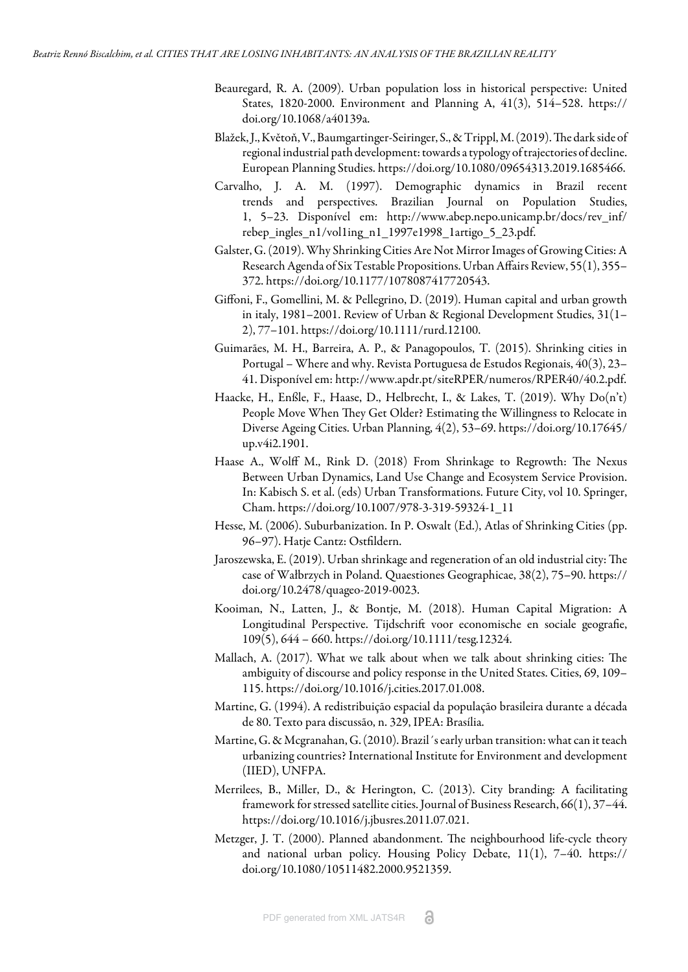- <span id="page-16-6"></span>Beauregard, R. A. (2009). Urban population loss in historical perspective: United States, 1820-2000. Environment and Planning A, 41(3), 514–528. https:// doi.org/10.1068/a40139a.
- <span id="page-16-10"></span>Blažek, J., Květoň, V., Baumgartinger-Seiringer, S., & Trippl, M. (2019). The dark side of regional industrial path development: towards a typology of trajectories of decline. European Planning Studies. https://doi.org/10.1080/09654313.2019.1685466.
- <span id="page-16-9"></span>Carvalho, J. A. M. (1997). Demographic dynamics in Brazil recent trends and perspectives. Brazilian Journal on Population Studies, 1, 5–23. Disponível em: http://www.abep.nepo.unicamp.br/docs/rev\_inf/ rebep\_ingles\_n1/vol1ing\_n1\_1997e1998\_1artigo\_5\_23.pdf.
- <span id="page-16-5"></span>Galster, G. (2019). Why Shrinking Cities Are Not Mirror Images of Growing Cities: A Research Agenda of Six Testable Propositions. Urban Affairs Review, 55(1), 355– 372. https://doi.org/10.1177/1078087417720543.
- <span id="page-16-3"></span>Giffoni, F., Gomellini, M. & Pellegrino, D. (2019). Human capital and urban growth in italy, 1981–2001. Review of Urban & Regional Development Studies, 31(1– 2), 77–101. https://doi.org/10.1111/rurd.12100.
- <span id="page-16-8"></span>Guimarães, M. H., Barreira, A. P., & Panagopoulos, T. (2015). Shrinking cities in Portugal – Where and why. Revista Portuguesa de Estudos Regionais, 40(3), 23– 41. Disponível em: http://www.apdr.pt/siteRPER/numeros/RPER40/40.2.pdf.
- <span id="page-16-11"></span>Haacke, H., Enßle, F., Haase, D., Helbrecht, I., & Lakes, T. (2019). Why Do(n't) People Move When They Get Older? Estimating the Willingness to Relocate in Diverse Ageing Cities. Urban Planning, 4(2), 53–69. https://doi.org/10.17645/ up.v4i2.1901.
- <span id="page-16-7"></span>Haase A., Wolff M., Rink D. (2018) From Shrinkage to Regrowth: The Nexus Between Urban Dynamics, Land Use Change and Ecosystem Service Provision. In: Kabisch S. et al. (eds) Urban Transformations. Future City, vol 10. Springer, Cham. https://doi.org/10.1007/978-3-319-59324-1\_11
- <span id="page-16-12"></span>Hesse, M. (2006). Suburbanization. In P. Oswalt (Ed.), Atlas of Shrinking Cities (pp. 96–97). Hatje Cantz: Ostfildern.
- <span id="page-16-14"></span>Jaroszewska, E. (2019). Urban shrinkage and regeneration of an old industrial city: The case of Wałbrzych in Poland. Quaestiones Geographicae, 38(2), 75–90. https:// doi.org/10.2478/quageo-2019-0023.
- <span id="page-16-2"></span>Kooiman, N., Latten, J., & Bontje, M. (2018). Human Capital Migration: A Longitudinal Perspective. Tijdschrift voor economische en sociale geografie, 109(5), 644 – 660. https://doi.org/10.1111/tesg.12324.
- <span id="page-16-4"></span>Mallach, A. (2017). What we talk about when we talk about shrinking cities: The ambiguity of discourse and policy response in the United States. Cities, 69, 109– 115. https://doi.org/10.1016/j.cities.2017.01.008.
- <span id="page-16-15"></span>Martine, G. (1994). A redistribuição espacial da população brasileira durante a década de 80. Texto para discussão, n. 329, IPEA: Brasília.
- <span id="page-16-1"></span>Martine, G. & Mcgranahan, G. (2010). Brazil´s early urban transition: what can it teach urbanizing countries? International Institute for Environment and development (IIED), UNFPA.
- <span id="page-16-13"></span>Merrilees, B., Miller, D., & Herington, C. (2013). City branding: A facilitating framework for stressed satellite cities. Journal of Business Research, 66(1), 37–44. https://doi.org/10.1016/j.jbusres.2011.07.021.
- <span id="page-16-0"></span>Metzger, J. T. (2000). Planned abandonment. The neighbourhood life-cycle theory and national urban policy. Housing Policy Debate, 11(1), 7–40. https:// doi.org/10.1080/10511482.2000.9521359.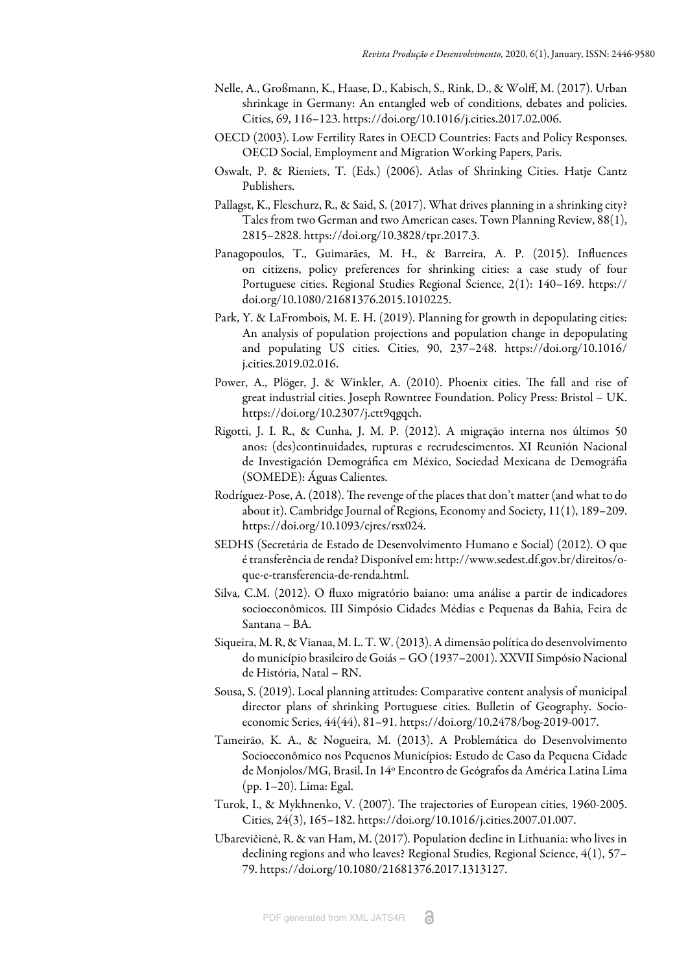- <span id="page-17-10"></span>Nelle, A., Großmann, K., Haase, D., Kabisch, S., Rink, D., & Wolff, M. (2017). Urban shrinkage in Germany: An entangled web of conditions, debates and policies. Cities, 69, 116–123. https://doi.org/10.1016/j.cities.2017.02.006.
- <span id="page-17-8"></span>OECD (2003). Low Fertility Rates in OECD Countries: Facts and Policy Responses. OECD Social, Employment and Migration Working Papers, Paris.
- <span id="page-17-0"></span>Oswalt, P. & Rieniets, T. (Eds.) (2006). Atlas of Shrinking Cities. Hatje Cantz Publishers.
- <span id="page-17-3"></span>Pallagst, K., Fleschurz, R., & Said, S. (2017). What drives planning in a shrinking city? Tales from two German and two American cases. Town Planning Review, 88(1), 2815–2828. https://doi.org/10.3828/tpr.2017.3.
- <span id="page-17-1"></span>Panagopoulos, T., Guimarães, M. H., & Barreira, A. P. (2015). Influences on citizens, policy preferences for shrinking cities: a case study of four Portuguese cities. Regional Studies Regional Science, 2(1): 140–169. https:// doi.org/10.1080/21681376.2015.1010225.
- <span id="page-17-4"></span>Park, Y. & LaFrombois, M. E. H. (2019). Planning for growth in depopulating cities: An analysis of population projections and population change in depopulating and populating US cities. Cities, 90, 237–248. https://doi.org/10.1016/ j.cities.2019.02.016.
- <span id="page-17-6"></span>Power, A., Plöger, J. & Winkler, A. (2010). Phoenix cities. The fall and rise of great industrial cities. Joseph Rowntree Foundation. Policy Press: Bristol – UK. https://doi.org/10.2307/j.ctt9qgqch.
- <span id="page-17-11"></span>Rigotti, J. I. R., & Cunha, J. M. P. (2012). A migração interna nos últimos 50 anos: (des)continuidades, rupturas e recrudescimentos. XI Reunión Nacional de Investigación Demográfica em México, Sociedad Mexicana de Demográfia (SOMEDE): Águas Calientes.
- <span id="page-17-2"></span>Rodríguez-Pose, A. (2018). The revenge of the places that don't matter (and what to do about it). Cambridge Journal of Regions, Economy and Society, 11(1), 189–209. https://doi.org/10.1093/cjres/rsx024.
- SEDHS (Secretária de Estado de Desenvolvimento Humano e Social) (2012). O que é transferência de renda? Disponível em: http://www.sedest.df.gov.br/direitos/oque-e-transferencia-de-renda.html.
- <span id="page-17-14"></span>Silva, C.M. (2012). O fluxo migratório baiano: uma análise a partir de indicadores socioeconômicos. III Simpósio Cidades Médias e Pequenas da Bahia, Feira de Santana – BA.
- <span id="page-17-12"></span>Siqueira, M. R, & Vianaa, M. L. T. W. (2013). A dimensão política do desenvolvimento do município brasileiro de Goiás – GO (1937–2001). XXVII Simpósio Nacional de História, Natal – RN.
- <span id="page-17-5"></span>Sousa, S. (2019). Local planning attitudes: Comparative content analysis of municipal director plans of shrinking Portuguese cities. Bulletin of Geography. Socioeconomic Series, 44(44), 81–91. https://doi.org/10.2478/bog-2019-0017.
- <span id="page-17-13"></span>Tameirão, K. A., & Nogueira, M. (2013). A Problemática do Desenvolvimento Socioeconômico nos Pequenos Municípios: Estudo de Caso da Pequena Cidade de Monjolos/MG, Brasil. In 14º Encontro de Geógrafos da América Latina Lima (pp. 1–20). Lima: Egal.
- <span id="page-17-7"></span>Turok, I., & Mykhnenko, V. (2007). The trajectories of European cities, 1960-2005. Cities, 24(3), 165–182. https://doi.org/10.1016/j.cities.2007.01.007.
- <span id="page-17-9"></span>Ubarevičienė, R. & van Ham, M. (2017). Population decline in Lithuania: who lives in declining regions and who leaves? Regional Studies, Regional Science, 4(1), 57– 79. https://doi.org/10.1080/21681376.2017.1313127.